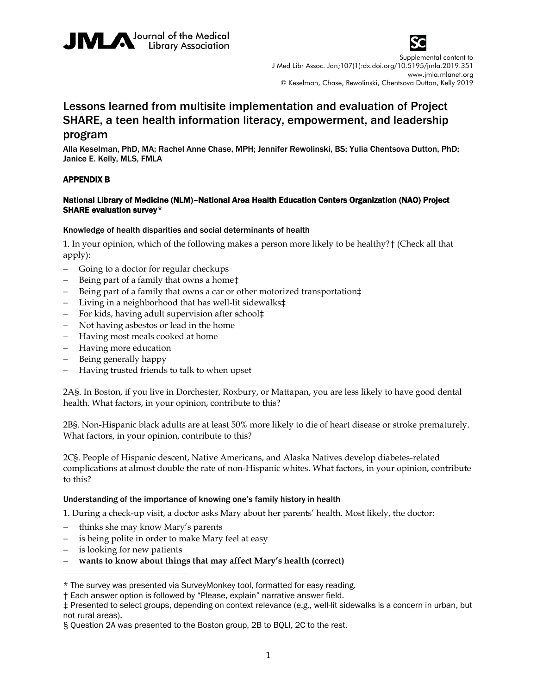



Supplemental content to J Med Libr Assoc. Jan;107(1):dx.doi.org/10.5195/jmla.2019.351 www.jmla.mlanet.org © Keselman, Chase, Rewolinski, Chentsova Dutton, Kelly 2019

# Lessons learned from multisite implementation and evaluation of Project SHARE, a teen health information literacy, empowerment, and leadership

# program

Alla Keselman, PhD, MA; Rachel Anne Chase, MPH; Jennifer Rewolinski, BS; Yulia Chentsova Dutton, PhD; Janice E. Kelly, MLS, FMLA

## APPENDIX B

## National Library of Medicine (NLM)–National Area Health Education Centers Organization (NAO) Project SHARE evaluation survey[\\*](#page-0-0)

#### Knowledge of health disparities and social determinants of health

1. In your opinion, which of the following makes a person more likely to be healthy?[†](#page-0-1) (Check all that apply):

- − Going to a doctor for regular checkups
- − Being part of a family that owns a home[‡](#page-0-2)
- Being part of a family that owns a car or other motorized transportation‡
- − Living in a neighborhood that has well-lit sidewalks‡
- − For kids, having adult supervision after school‡
- − Not having asbestos or lead in the home
- − Having most meals cooked at home
- − Having more education
- − Being generally happy
- − Having trusted friends to talk to when upset

2A[§](#page-0-3). In Boston, if you live in Dorchester, Roxbury, or Mattapan, you are less likely to have good dental health. What factors, in your opinion, contribute to this?

2B§. Non-Hispanic black adults are at least 50% more likely to die of heart disease or stroke prematurely. What factors, in your opinion, contribute to this?

2C§. People of Hispanic descent, Native Americans, and Alaska Natives develop diabetes-related complications at almost double the rate of non-Hispanic whites. What factors, in your opinion, contribute to this?

#### Understanding of the importance of knowing one's family history in health

1. During a check-up visit, a doctor asks Mary about her parents' health. Most likely, the doctor:

- − thinks she may know Mary's parents
- is being polite in order to make Mary feel at easy
- is looking for new patients

 $\overline{a}$ 

− **wants to know about things that may affect Mary's health (correct)**

<span id="page-0-0"></span><sup>\*</sup> The survey was presented via SurveyMonkey tool, formatted for easy reading.

<span id="page-0-1"></span><sup>†</sup> Each answer option is followed by "Please, explain" narrative answer field.

<span id="page-0-2"></span><sup>‡</sup> Presented to select groups, depending on context relevance (e.g., well-lit sidewalks is a concern in urban, but not rural areas).

<span id="page-0-3"></span><sup>§</sup> Question 2A was presented to the Boston group, 2B to BQLI, 2C to the rest.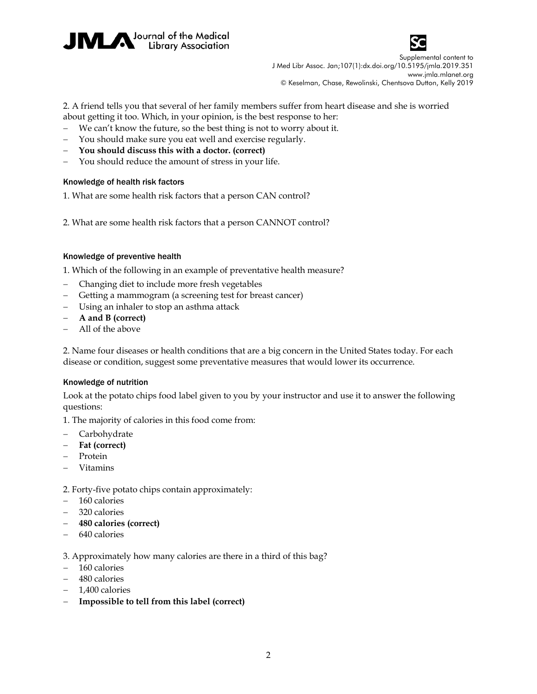



Supplemental content to J Med Libr Assoc. Jan;107(1):dx.doi.org/10.5195/jmla.2019.351 www.jmla.mlanet.org © Keselman, Chase, Rewolinski, Chentsova Dutton, Kelly 2019

2. A friend tells you that several of her family members suffer from heart disease and she is worried about getting it too. Which, in your opinion, is the best response to her:

- We can't know the future, so the best thing is not to worry about it.
- You should make sure you eat well and exercise regularly.
- − **You should discuss this with a doctor. (correct)**
- You should reduce the amount of stress in your life.

#### Knowledge of health risk factors

1. What are some health risk factors that a person CAN control?

2. What are some health risk factors that a person CANNOT control?

#### Knowledge of preventive health

1. Which of the following in an example of preventative health measure?

- − Changing diet to include more fresh vegetables
- − Getting a mammogram (a screening test for breast cancer)
- − Using an inhaler to stop an asthma attack
- − **A and B (correct)**
- − All of the above

2. Name four diseases or health conditions that are a big concern in the United States today. For each disease or condition, suggest some preventative measures that would lower its occurrence.

#### Knowledge of nutrition

Look at the potato chips food label given to you by your instructor and use it to answer the following questions:

1. The majority of calories in this food come from:

- − Carbohydrate
- − **Fat (correct)**
- − Protein
- − Vitamins

2. Forty-five potato chips contain approximately:

- − 160 calories
- − 320 calories
- − **480 calories (correct)**
- − 640 calories

3. Approximately how many calories are there in a third of this bag?

- − 160 calories
- − 480 calories
- − 1,400 calories
- − **Impossible to tell from this label (correct)**